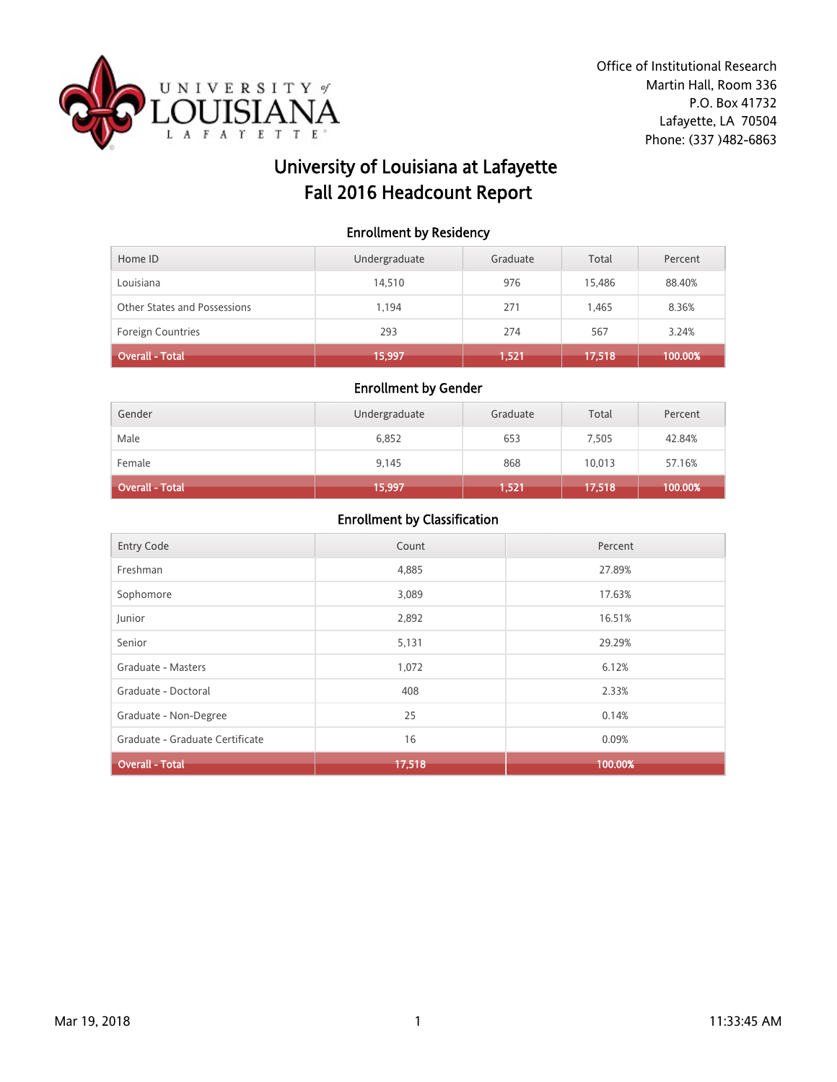

# University of Louisiana at Lafayette Fall 2016 Headcount Report

### Enrollment by Residency

| Home ID                      | Undergraduate | Graduate | Total  | Percent |
|------------------------------|---------------|----------|--------|---------|
| Louisiana                    | 14.510        | 976      | 15,486 | 88.40%  |
| Other States and Possessions | 1.194         | 271      | 1.465  | 8.36%   |
| <b>Foreign Countries</b>     | 293           | 274      | 567    | 3.24%   |
| Overall - Total              | 15,997        | 1.521    | 17,518 | 100.00% |

#### Enrollment by Gender

| Gender                 | Undergraduate | Graduate | Total  | Percent |
|------------------------|---------------|----------|--------|---------|
| Male                   | 6,852         | 653      | 7,505  | 42.84%  |
| Female                 | 9,145         | 868      | 10,013 | 57.16%  |
| <b>Overall - Total</b> | 15,997        | 1,521    | 17,518 | 100.00% |

| <b>Entry Code</b>               | Count  | Percent |
|---------------------------------|--------|---------|
| Freshman                        | 4,885  | 27.89%  |
| Sophomore                       | 3,089  | 17.63%  |
| Junior                          | 2,892  | 16.51%  |
| Senior                          | 5,131  | 29.29%  |
| Graduate - Masters              | 1,072  | 6.12%   |
| Graduate - Doctoral             | 408    | 2.33%   |
| Graduate - Non-Degree           | 25     | 0.14%   |
| Graduate - Graduate Certificate | 16     | 0.09%   |
| <b>Overall - Total</b>          | 17,518 | 100.00% |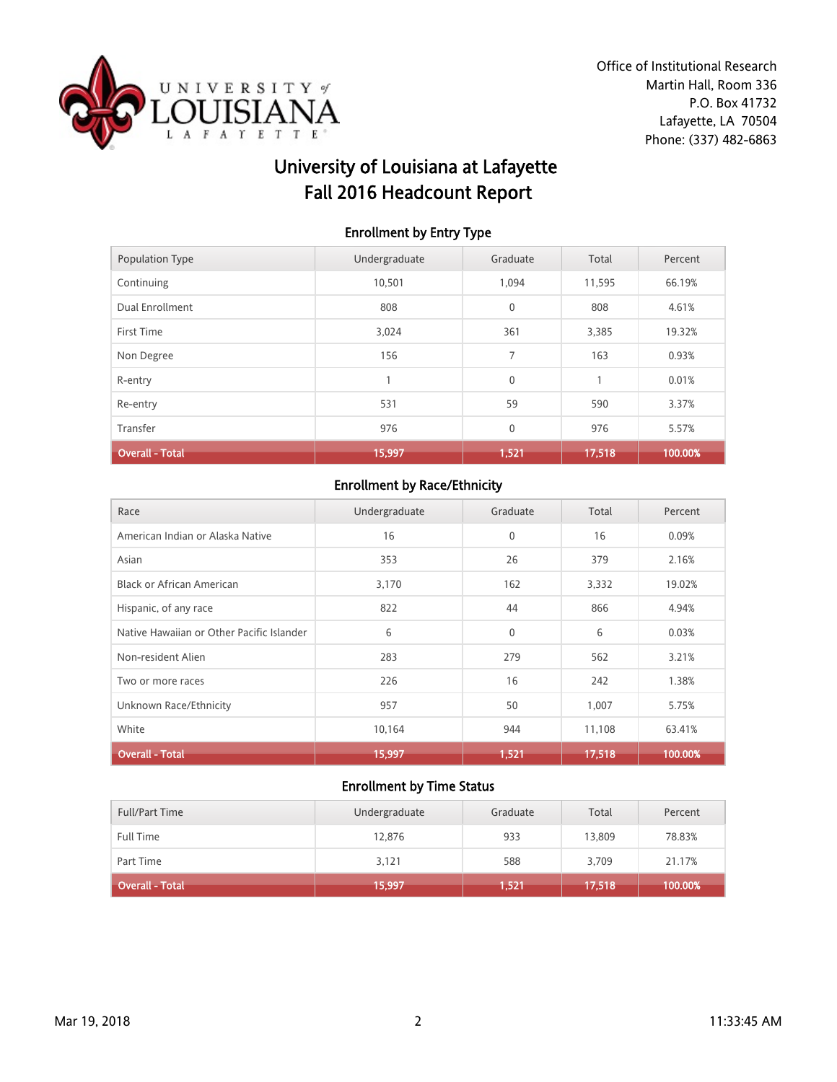

# University of Louisiana at Lafayette Fall 2016 Headcount Report

### Enrollment by Entry Type

| Population Type        | Undergraduate | Graduate     | Total  | Percent |
|------------------------|---------------|--------------|--------|---------|
| Continuing             | 10,501        | 1,094        | 11,595 | 66.19%  |
| Dual Enrollment        | 808           | $\mathbf{0}$ | 808    | 4.61%   |
| First Time             | 3,024         | 361          | 3,385  | 19.32%  |
| Non Degree             | 156           | 7            | 163    | 0.93%   |
| R-entry                |               | $\mathbf{0}$ |        | 0.01%   |
| Re-entry               | 531           | 59           | 590    | 3.37%   |
| Transfer               | 976           | $\mathbf{0}$ | 976    | 5.57%   |
| <b>Overall - Total</b> | 15,997        | 1,521        | 17,518 | 100.00% |

## Enrollment by Race/Ethnicity

| Race                                      | Undergraduate | Graduate     | Total  | Percent |
|-------------------------------------------|---------------|--------------|--------|---------|
| American Indian or Alaska Native          | 16            | $\mathbf{0}$ | 16     | 0.09%   |
| Asian                                     | 353           | 26           | 379    | 2.16%   |
| Black or African American                 | 3,170         | 162          | 3,332  | 19.02%  |
| Hispanic, of any race                     | 822           | 44           | 866    | 4.94%   |
| Native Hawaiian or Other Pacific Islander | 6             | $\mathbf{0}$ | 6      | 0.03%   |
| Non-resident Alien                        | 283           | 279          | 562    | 3.21%   |
| Two or more races                         | 226           | 16           | 242    | 1.38%   |
| Unknown Race/Ethnicity                    | 957           | 50           | 1,007  | 5.75%   |
| White                                     | 10,164        | 944          | 11,108 | 63.41%  |
| <b>Overall - Total</b>                    | 15,997        | 1,521        | 17,518 | 100.00% |

| Overall - Total       | 15,997        | 1,521    | 17,518 | 100.00% |
|-----------------------|---------------|----------|--------|---------|
| Part Time             | 3,121         | 588      | 3,709  | 21.17%  |
| <b>Full Time</b>      | 12,876        | 933      | 13,809 | 78.83%  |
| <b>Full/Part Time</b> | Undergraduate | Graduate | Total  | Percent |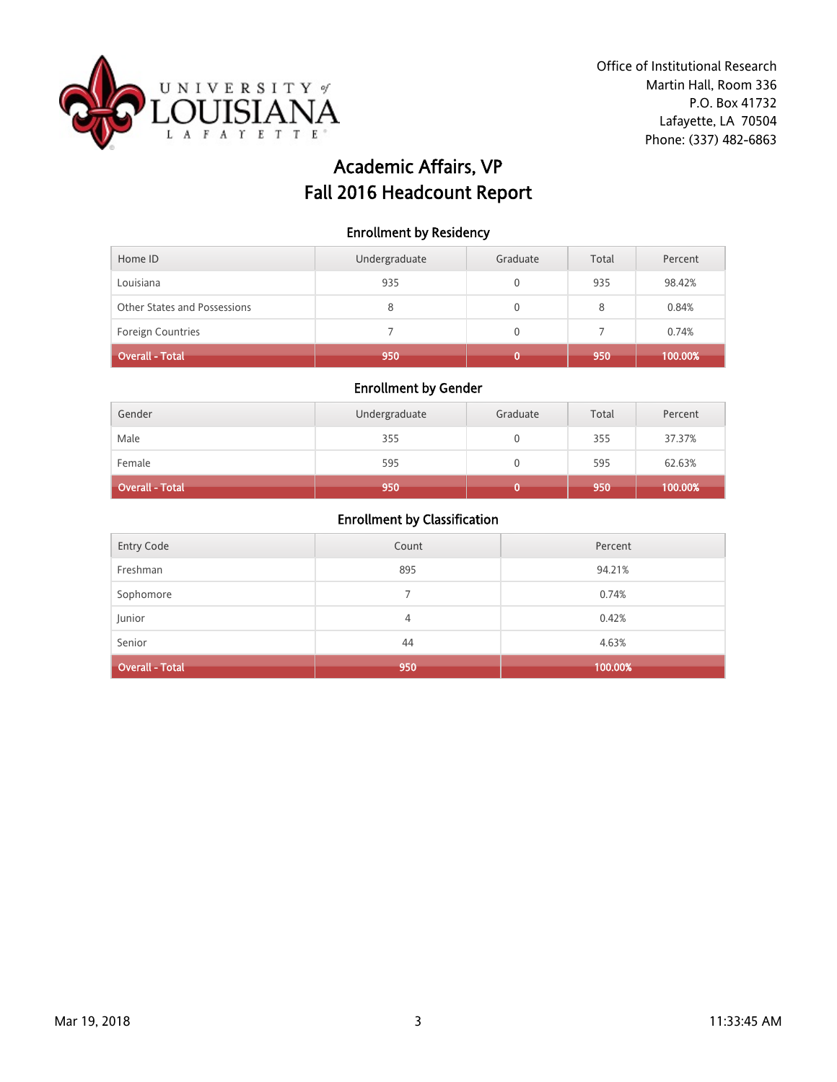

# Academic Affairs, VP Fall 2016 Headcount Report

#### Enrollment by Residency

| Home ID                      | Undergraduate | Graduate | Total | Percent |
|------------------------------|---------------|----------|-------|---------|
| Louisiana                    | 935           |          | 935   | 98.42%  |
| Other States and Possessions | 8             |          | 8     | 0.84%   |
| <b>Foreign Countries</b>     |               |          |       | 0.74%   |
| Overall - Total              | 950           |          | 950   | 100.00% |

### Enrollment by Gender

| Gender          | Undergraduate | Graduate | Total | Percent |
|-----------------|---------------|----------|-------|---------|
| Male            | 355           |          | 355   | 37.37%  |
| Female          | 595           |          | 595   | 62.63%  |
| Overall - Total | 950           |          | 950   | 100.00% |

| Entry Code             | Count | Percent |
|------------------------|-------|---------|
| Freshman               | 895   | 94.21%  |
| Sophomore              |       | 0.74%   |
| Junior                 | 4     | 0.42%   |
| Senior                 | 44    | 4.63%   |
| <b>Overall - Total</b> | 950   | 100.00% |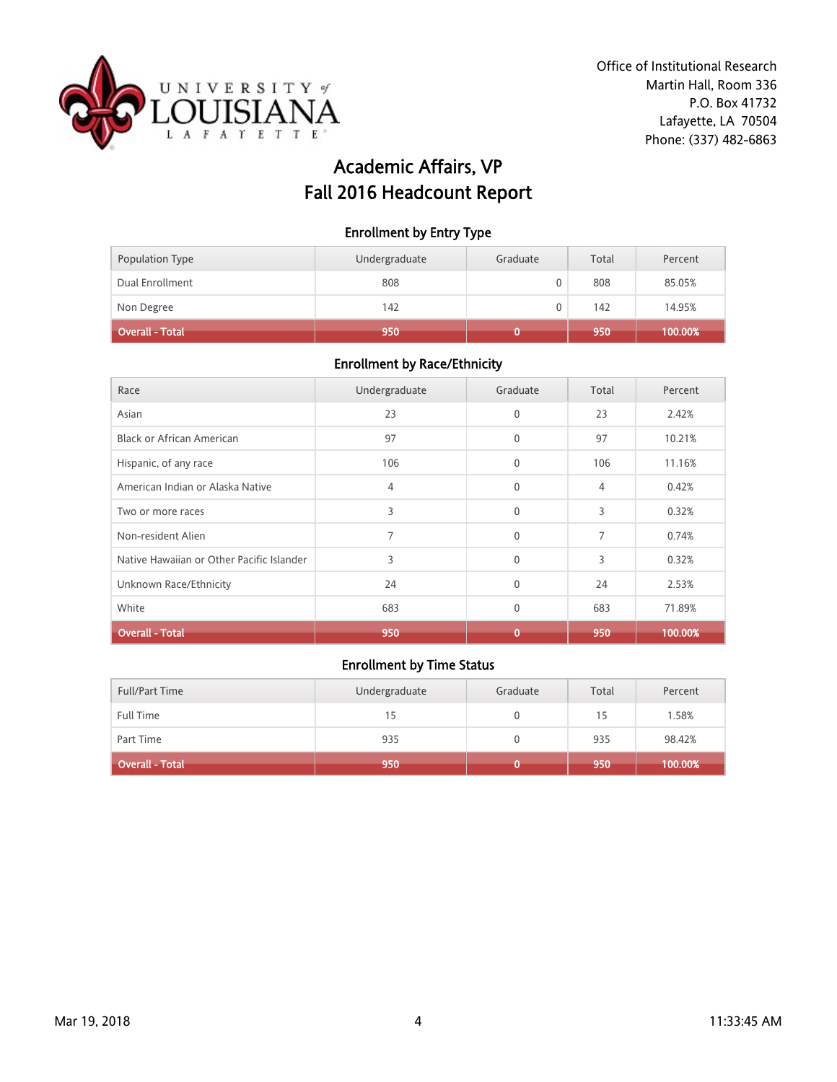

# Academic Affairs, VP Fall 2016 Headcount Report

### Enrollment by Entry Type

| Population Type | Undergraduate | Graduate | Total | Percent |
|-----------------|---------------|----------|-------|---------|
| Dual Enrollment | 808           |          | 808   | 85.05%  |
| Non Degree      | 142           |          | 142   | 14.95%  |
| Overall - Total | 950           |          | 950   | 100.00% |

# Enrollment by Race/Ethnicity

| Race                                      | Undergraduate | Graduate     | Total          | Percent |
|-------------------------------------------|---------------|--------------|----------------|---------|
| Asian                                     | 23            | $\mathbf{0}$ | 23             | 2.42%   |
| <b>Black or African American</b>          | 97            | $\mathbf{0}$ | 97             | 10.21%  |
| Hispanic, of any race                     | 106           | $\mathbf{0}$ | 106            | 11.16%  |
| American Indian or Alaska Native          | 4             | $\mathbf{0}$ | $\overline{4}$ | 0.42%   |
| Two or more races                         | 3             | $\mathbf{0}$ | 3              | 0.32%   |
| Non-resident Alien                        |               | $\mathbf{0}$ | 7              | 0.74%   |
| Native Hawaiian or Other Pacific Islander | 3             | $\mathbf{0}$ | 3              | 0.32%   |
| Unknown Race/Ethnicity                    | 24            | $\mathbf{0}$ | 24             | 2.53%   |
| White                                     | 683           | $\mathbf{0}$ | 683            | 71.89%  |
| <b>Overall - Total</b>                    | 950           | 0            | 950            | 100.00% |

| <b>Full/Part Time</b> | Undergraduate | Graduate | Total | Percent |
|-----------------------|---------------|----------|-------|---------|
| Full Time             | 15            |          | 15    | 1.58%   |
| Part Time             | 935           |          | 935   | 98.42%  |
| Overall - Total b     | 950           |          | 950   | 100.00% |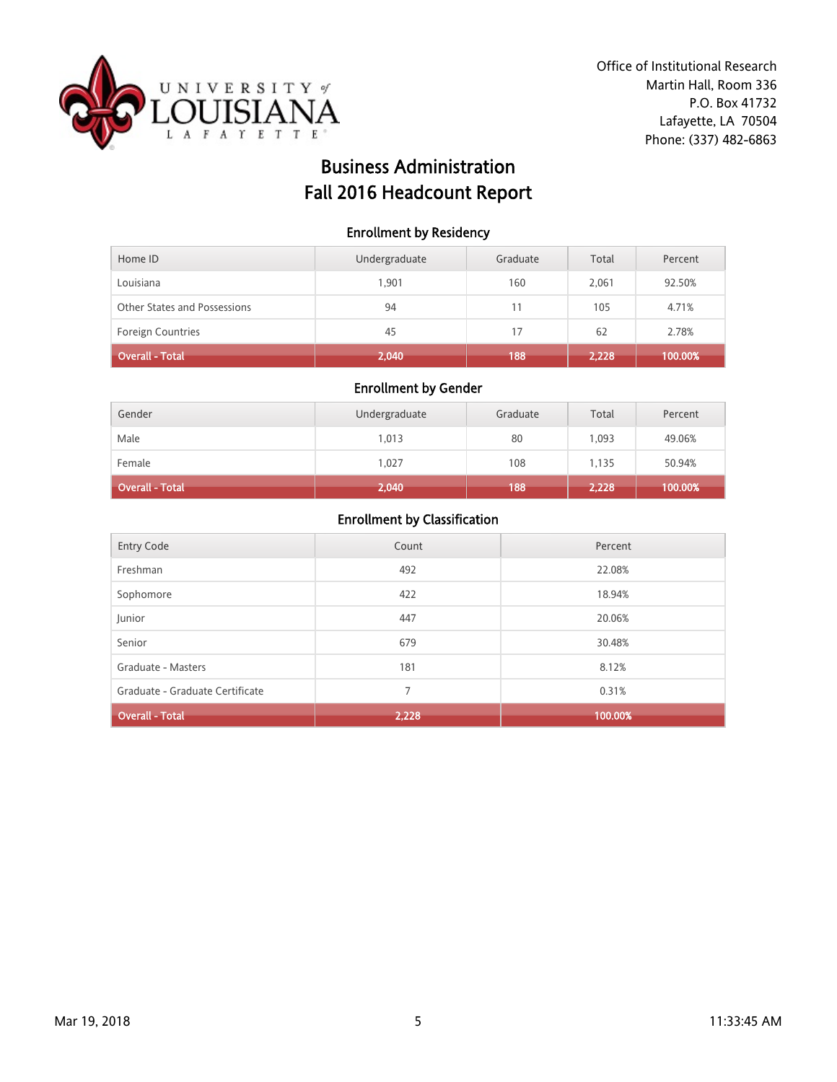

# Business Administration Fall 2016 Headcount Report

### Enrollment by Residency

| Home ID                      | Undergraduate | Graduate | Total | Percent |
|------------------------------|---------------|----------|-------|---------|
| Louisiana                    | 1.901         | 160      | 2.061 | 92.50%  |
| Other States and Possessions | 94            | 11       | 105   | 4.71%   |
| Foreign Countries            | 45            | 17       | 62    | 2.78%   |
| Overall - Total              | 2,040         | 188      | 2,228 | 100.00% |

### Enrollment by Gender

| Gender                 | Undergraduate | Graduate | Total | Percent |
|------------------------|---------------|----------|-------|---------|
| Male                   | 1,013         | 80       | 1,093 | 49.06%  |
| Female                 | 1.027         | 108      | 1.135 | 50.94%  |
| <b>Overall - Total</b> | 2,040         | 188      | 2,228 | 100.00% |

| <b>Entry Code</b>               | Count | Percent |
|---------------------------------|-------|---------|
| Freshman                        | 492   | 22.08%  |
| Sophomore                       | 422   | 18.94%  |
| Junior                          | 447   | 20.06%  |
| Senior                          | 679   | 30.48%  |
| Graduate - Masters              | 181   | 8.12%   |
| Graduate - Graduate Certificate | 7     | 0.31%   |
| <b>Overall - Total</b>          | 2,228 | 100.00% |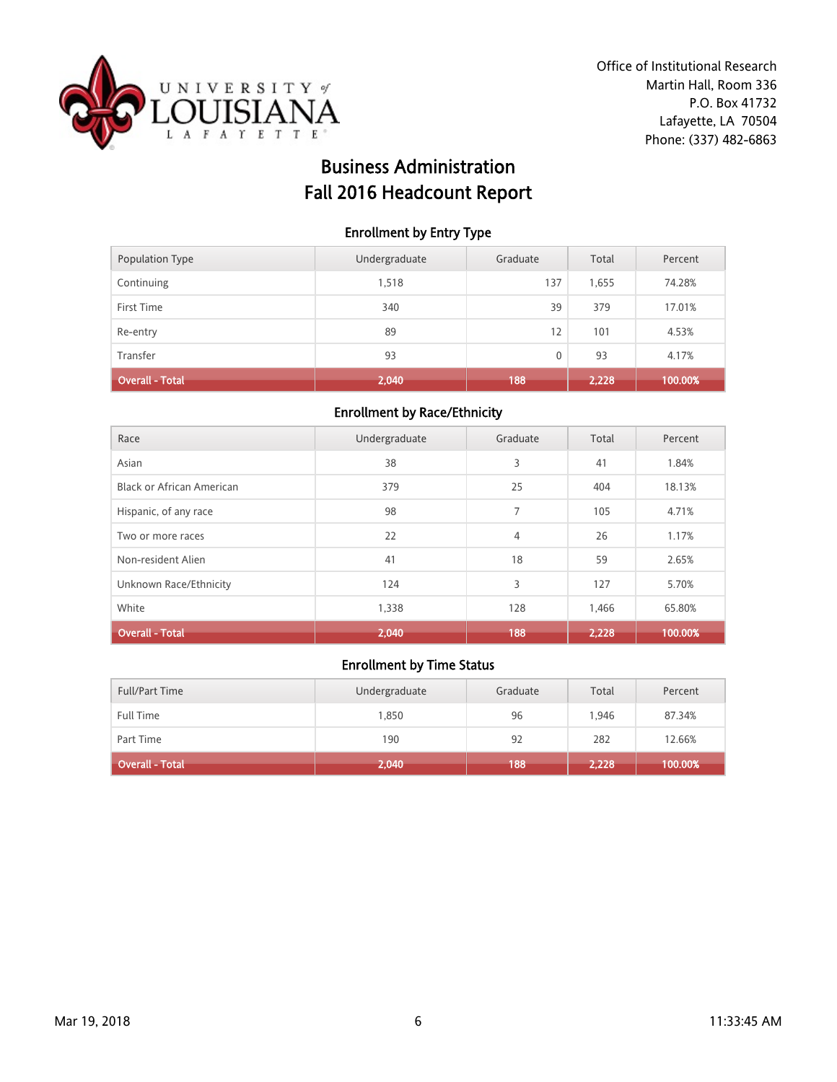

# Business Administration Fall 2016 Headcount Report

### Enrollment by Entry Type

| Population Type | Undergraduate | Graduate | Total | Percent |
|-----------------|---------------|----------|-------|---------|
| Continuing      | 1,518         | 137      | 1,655 | 74.28%  |
| First Time      | 340           | 39       | 379   | 17.01%  |
| Re-entry        | 89            | 12       | 101   | 4.53%   |
| Transfer        | 93            | 0        | 93    | 4.17%   |
| Overall - Total | 2,040         | 188      | 2,228 | 100.00% |

#### Enrollment by Race/Ethnicity

| Race                             | Undergraduate | Graduate       | Total | Percent |
|----------------------------------|---------------|----------------|-------|---------|
| Asian                            | 38            | 3              | 41    | 1.84%   |
| <b>Black or African American</b> | 379           | 25             | 404   | 18.13%  |
| Hispanic, of any race            | 98            | $\overline{7}$ | 105   | 4.71%   |
| Two or more races                | 22            | $\overline{4}$ | 26    | 1.17%   |
| Non-resident Alien               | 41            | 18             | 59    | 2.65%   |
| Unknown Race/Ethnicity           | 124           | 3              | 127   | 5.70%   |
| White                            | 1,338         | 128            | 1,466 | 65.80%  |
| <b>Overall - Total</b>           | 2,040         | 188            | 2,228 | 100.00% |

| <b>Full/Part Time</b> | Undergraduate | Graduate | Total | Percent |
|-----------------------|---------------|----------|-------|---------|
| <b>Full Time</b>      | 1,850         | 96       | 1.946 | 87.34%  |
| Part Time             | 190           | 92       | 282   | 12.66%  |
| Overall - Total       | 2,040         | 188      | 2,228 | 100.00% |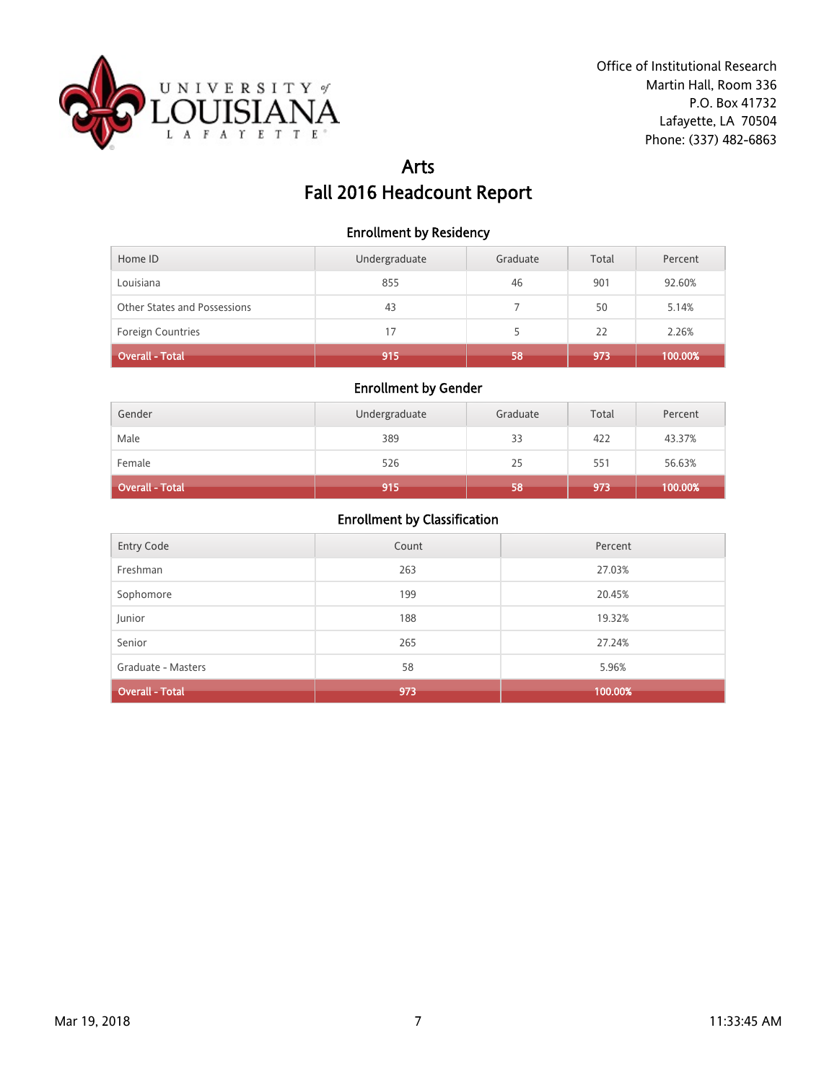

# Arts Fall 2016 Headcount Report

#### Enrollment by Residency

| Home ID                      | Undergraduate | Graduate | Total | Percent |
|------------------------------|---------------|----------|-------|---------|
| Louisiana                    | 855           | 46       | 901   | 92.60%  |
| Other States and Possessions | 43            |          | 50    | 5.14%   |
| Foreign Countries            | 17            |          | 22    | 2.26%   |
| Overall - Total              | 915           | 58       | 973   | 100.00% |

### Enrollment by Gender

| Gender                 | Undergraduate | Graduate | Total | Percent |
|------------------------|---------------|----------|-------|---------|
| Male                   | 389           | 33       | 422   | 43.37%  |
| Female                 | 526           | 25       | 551   | 56.63%  |
| <b>Overall - Total</b> | 915           | 58       | 973   | 100.00% |

| Entry Code             | Count | Percent |
|------------------------|-------|---------|
| Freshman               | 263   | 27.03%  |
| Sophomore              | 199   | 20.45%  |
| Junior                 | 188   | 19.32%  |
| Senior                 | 265   | 27.24%  |
| Graduate - Masters     | 58    | 5.96%   |
| <b>Overall - Total</b> | 973   | 100.00% |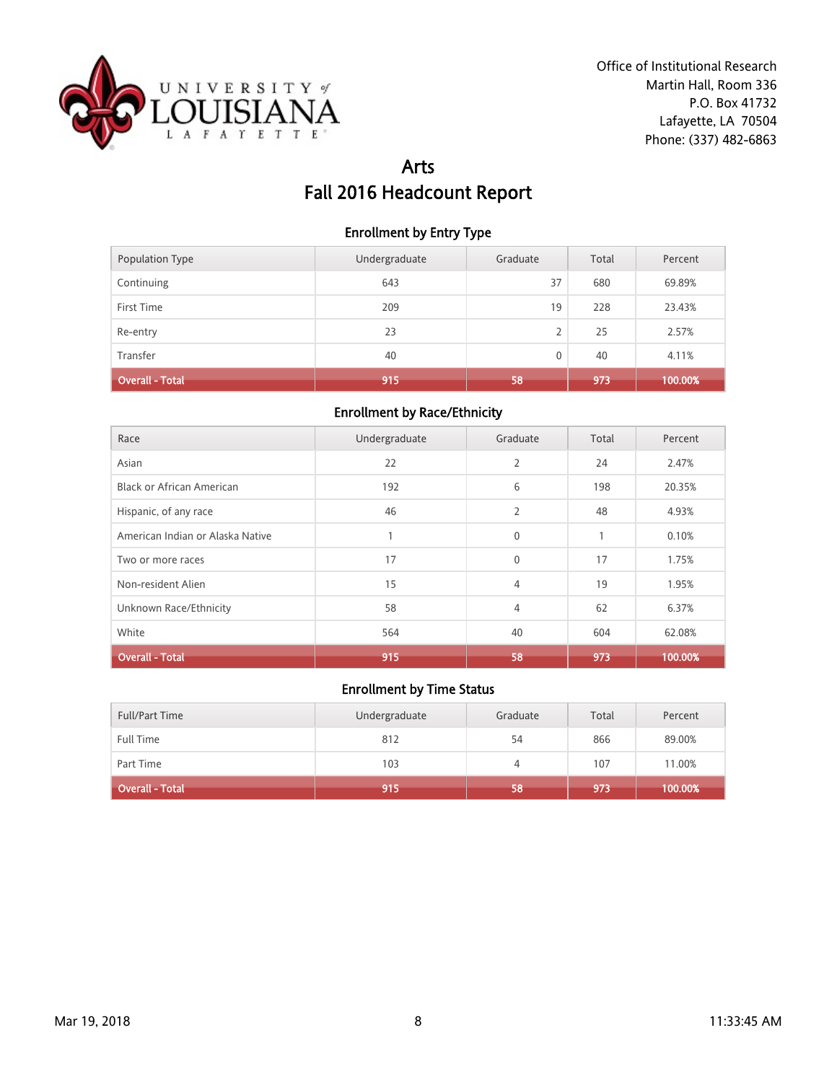

# Arts Fall 2016 Headcount Report

### Enrollment by Entry Type

| <b>Population Type</b> | Undergraduate | Graduate | Total | Percent |
|------------------------|---------------|----------|-------|---------|
| Continuing             | 643           | 37       | 680   | 69.89%  |
| First Time             | 209           | 19       | 228   | 23.43%  |
| Re-entry               | 23            | 2        | 25    | 2.57%   |
| Transfer               | 40            | 0        | 40    | 4.11%   |
| <b>Overall - Total</b> | 915           | 58       | 973   | 100.00% |

#### Enrollment by Race/Ethnicity

| Race                             | Undergraduate | Graduate       | Total | Percent |
|----------------------------------|---------------|----------------|-------|---------|
| Asian                            | 22            | $\overline{2}$ | 24    | 2.47%   |
| <b>Black or African American</b> | 192           | 6              | 198   | 20.35%  |
| Hispanic, of any race            | 46            | $\overline{2}$ | 48    | 4.93%   |
| American Indian or Alaska Native |               | $\mathbf{0}$   | 1     | 0.10%   |
| Two or more races                | 17            | $\mathbf{0}$   | 17    | 1.75%   |
| Non-resident Alien               | 15            | $\overline{4}$ | 19    | 1.95%   |
| Unknown Race/Ethnicity           | 58            | $\overline{4}$ | 62    | 6.37%   |
| White                            | 564           | 40             | 604   | 62.08%  |
| <b>Overall - Total</b>           | 915           | 58             | 973   | 100.00% |

| <b>Full/Part Time</b> | Undergraduate | Graduate | Total | Percent |
|-----------------------|---------------|----------|-------|---------|
| <b>Full Time</b>      | 812           | 54       | 866   | 89.00%  |
| Part Time             | 103           |          | 107   | 11.00%  |
| Overall - Total       | 915           | 58       | 973   | 100.00% |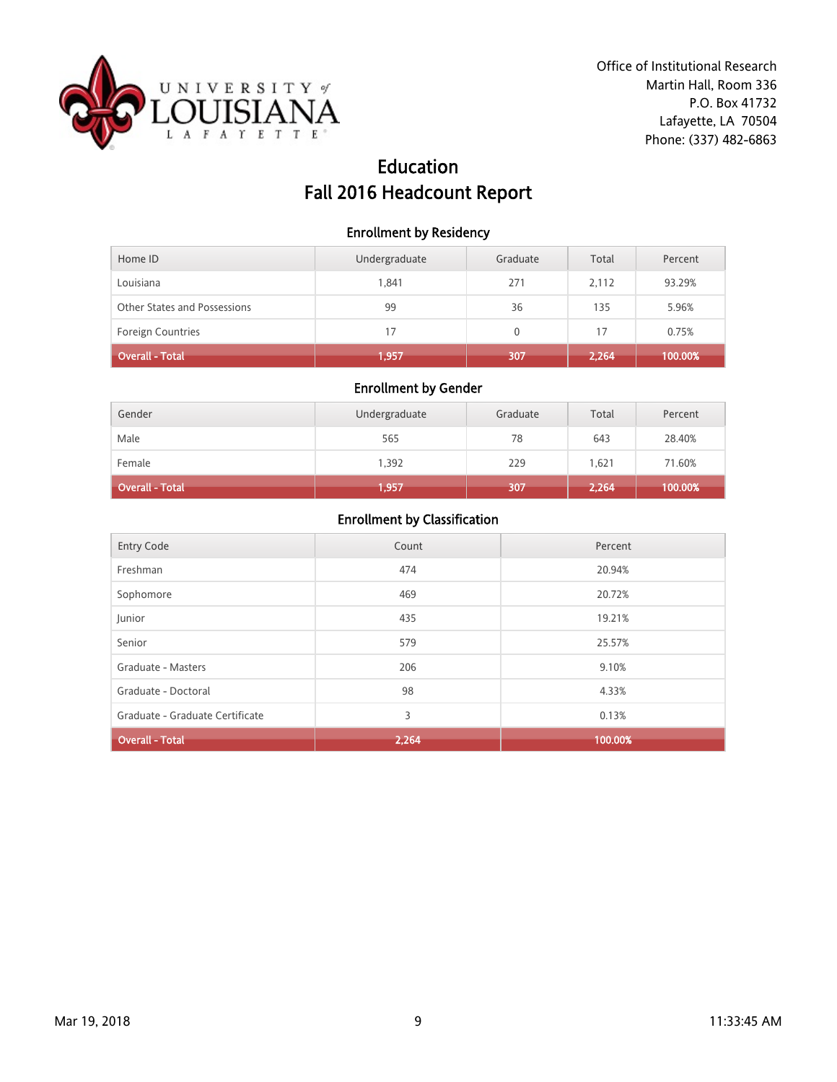

# Education Fall 2016 Headcount Report

#### Enrollment by Residency

| Home ID                      | Undergraduate | Graduate | Total | Percent |
|------------------------------|---------------|----------|-------|---------|
| Louisiana                    | 1.841         | 271      | 2.112 | 93.29%  |
| Other States and Possessions | 99            | 36       | 135   | 5.96%   |
| <b>Foreign Countries</b>     | 17            | 0        | 17    | 0.75%   |
| Overall - Total              | 1,957         | 307      | 2,264 | 100.00% |

### Enrollment by Gender

| Gender          | Undergraduate | Graduate | Total | Percent |
|-----------------|---------------|----------|-------|---------|
| Male            | 565           | 78       | 643   | 28.40%  |
| Female          | 1,392         | 229      | 1.621 | 71.60%  |
| Overall - Total | 1,957         | 307      | 2,264 | 100.00% |

| <b>Entry Code</b>               | Count | Percent |
|---------------------------------|-------|---------|
| Freshman                        | 474   | 20.94%  |
| Sophomore                       | 469   | 20.72%  |
| Junior                          | 435   | 19.21%  |
| Senior                          | 579   | 25.57%  |
| Graduate - Masters              | 206   | 9.10%   |
| Graduate - Doctoral             | 98    | 4.33%   |
| Graduate - Graduate Certificate | 3     | 0.13%   |
| <b>Overall - Total</b>          | 2,264 | 100.00% |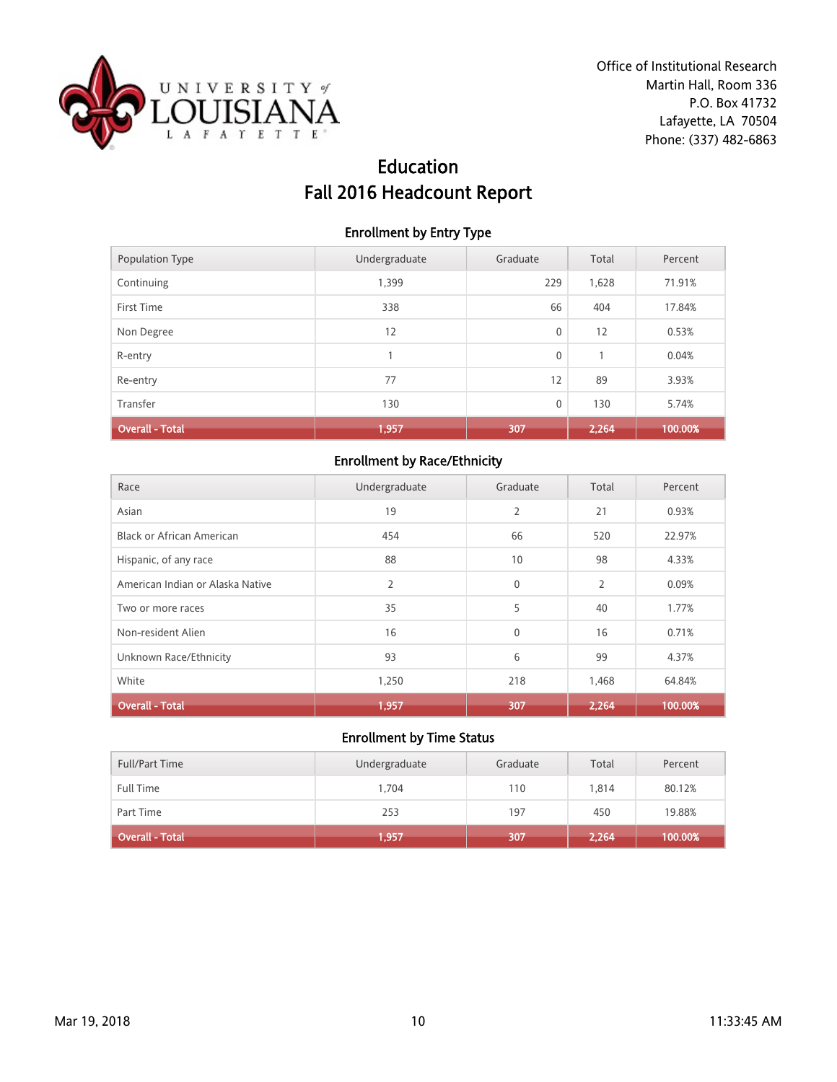

# Education Fall 2016 Headcount Report

#### Enrollment by Entry Type

| Population Type        | Undergraduate | Graduate    | Total | Percent |
|------------------------|---------------|-------------|-------|---------|
| Continuing             | 1,399         | 229         | 1,628 | 71.91%  |
| First Time             | 338           | 66          | 404   | 17.84%  |
| Non Degree             | 12            | $\mathbf 0$ | 12    | 0.53%   |
| R-entry                |               | $\mathbf 0$ |       | 0.04%   |
| Re-entry               | 77            | 12          | 89    | 3.93%   |
| Transfer               | 130           | $\mathbf 0$ | 130   | 5.74%   |
| <b>Overall - Total</b> | 1,957         | 307         | 2,264 | 100.00% |

# Enrollment by Race/Ethnicity

| Race                             | Undergraduate  | Graduate       | Total          | Percent |
|----------------------------------|----------------|----------------|----------------|---------|
| Asian                            | 19             | $\overline{2}$ | 21             | 0.93%   |
| Black or African American        | 454            | 66             | 520            | 22.97%  |
| Hispanic, of any race            | 88             | 10             | 98             | 4.33%   |
| American Indian or Alaska Native | $\overline{2}$ | $\mathbf{0}$   | $\overline{2}$ | 0.09%   |
| Two or more races                | 35             | 5              | 40             | 1.77%   |
| Non-resident Alien               | 16             | $\mathbf{0}$   | 16             | 0.71%   |
| Unknown Race/Ethnicity           | 93             | 6              | 99             | 4.37%   |
| White                            | 1,250          | 218            | 1,468          | 64.84%  |
| <b>Overall - Total</b>           | 1,957          | 307            | 2,264          | 100.00% |

| <b>Full/Part Time</b> | Undergraduate | Graduate | Total | Percent |
|-----------------------|---------------|----------|-------|---------|
| <b>Full Time</b>      | 1.704         | 110      | 1.814 | 80.12%  |
| Part Time             | 253           | 197      | 450   | 19.88%  |
| Overall - Total       | 1,957         | 307      | 2,264 | 100.00% |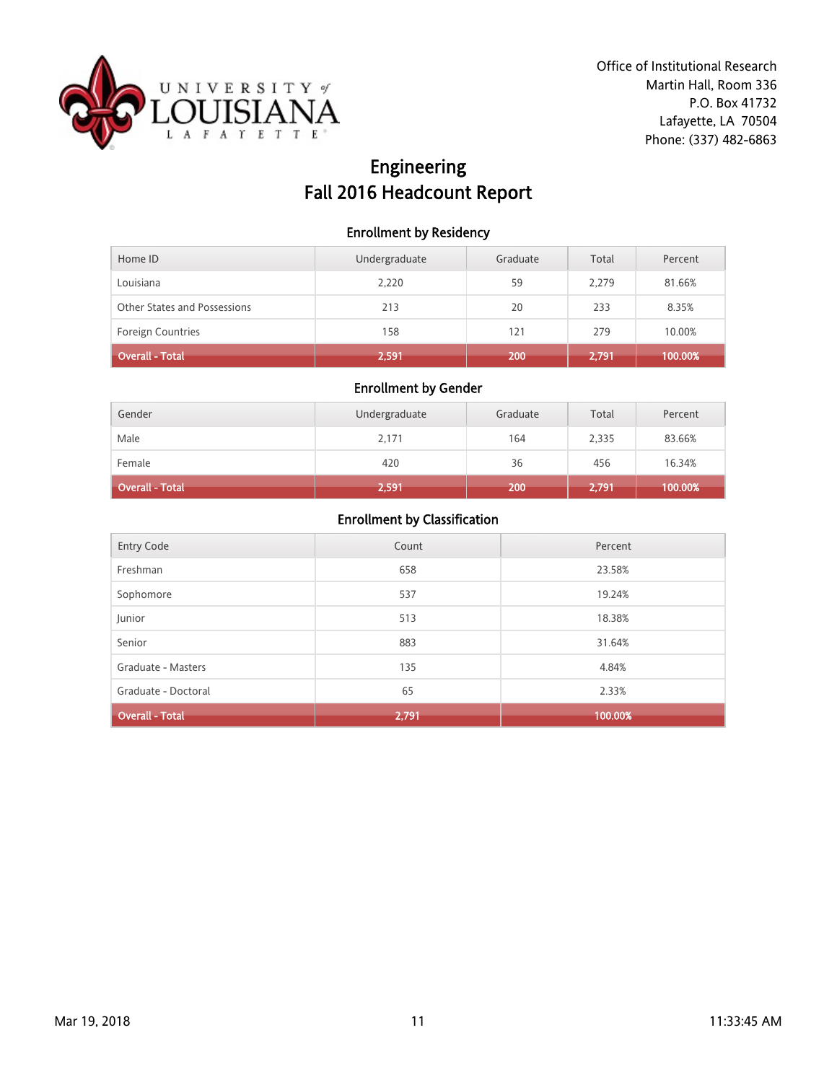

# Engineering Fall 2016 Headcount Report

#### Enrollment by Residency

| Home ID                      | Undergraduate | Graduate | Total | Percent |
|------------------------------|---------------|----------|-------|---------|
| Louisiana                    | 2,220         | 59       | 2.279 | 81.66%  |
| Other States and Possessions | 213           | 20       | 233   | 8.35%   |
| <b>Foreign Countries</b>     | 158           | 121      | 279   | 10.00%  |
| Overall - Total              | 2,591         | 200      | 2,791 | 100.00% |

### Enrollment by Gender

| Gender          | Undergraduate | Graduate | Total | Percent |
|-----------------|---------------|----------|-------|---------|
| Male            | 2,171         | 164      | 2,335 | 83.66%  |
| Female          | 420           | 36       | 456   | 16.34%  |
| Overall - Total | 2,591         | 200      | 2,791 | 100.00% |

| Entry Code             | Count | Percent |
|------------------------|-------|---------|
| Freshman               | 658   | 23.58%  |
| Sophomore              | 537   | 19.24%  |
| Junior                 | 513   | 18.38%  |
| Senior                 | 883   | 31.64%  |
| Graduate - Masters     | 135   | 4.84%   |
| Graduate - Doctoral    | 65    | 2.33%   |
| <b>Overall - Total</b> | 2,791 | 100.00% |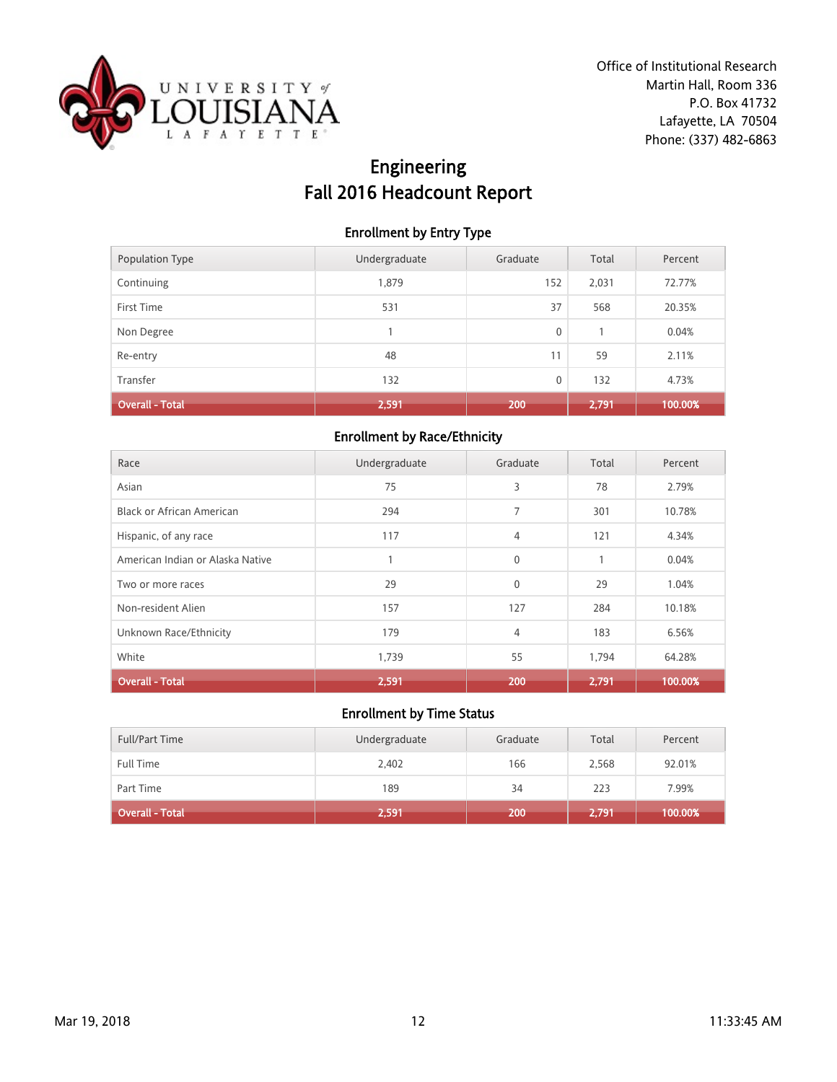

# Engineering Fall 2016 Headcount Report

### Enrollment by Entry Type

| Population Type        | Undergraduate | Graduate | Total | Percent |
|------------------------|---------------|----------|-------|---------|
| Continuing             | 1,879         | 152      | 2,031 | 72.77%  |
| First Time             | 531           | 37       | 568   | 20.35%  |
| Non Degree             |               | 0        |       | 0.04%   |
| Re-entry               | 48            | 11       | 59    | 2.11%   |
| Transfer               | 132           | 0        | 132   | 4.73%   |
| <b>Overall - Total</b> | 2,591         | 200      | 2,791 | 100.00% |

## Enrollment by Race/Ethnicity

| Race                             | Undergraduate | Graduate     | Total | Percent |
|----------------------------------|---------------|--------------|-------|---------|
| Asian                            | 75            | 3            | 78    | 2.79%   |
| Black or African American        | 294           | 7            | 301   | 10.78%  |
| Hispanic, of any race            | 117           | 4            | 121   | 4.34%   |
| American Indian or Alaska Native |               | $\mathbf{0}$ |       | 0.04%   |
| Two or more races                | 29            | $\mathbf{0}$ | 29    | 1.04%   |
| Non-resident Alien               | 157           | 127          | 284   | 10.18%  |
| Unknown Race/Ethnicity           | 179           | 4            | 183   | 6.56%   |
| White                            | 1,739         | 55           | 1,794 | 64.28%  |
| <b>Overall - Total</b>           | 2,591         | 200          | 2.791 | 100.00% |

| <b>Full/Part Time</b> | Undergraduate | Graduate | Total | Percent |
|-----------------------|---------------|----------|-------|---------|
| <b>Full Time</b>      | 2,402         | 166      | 2,568 | 92.01%  |
| Part Time             | 189           | 34       | 223   | 7.99%   |
| Overall - Total       | 2,591         | 200.     | 2,791 | 100.00% |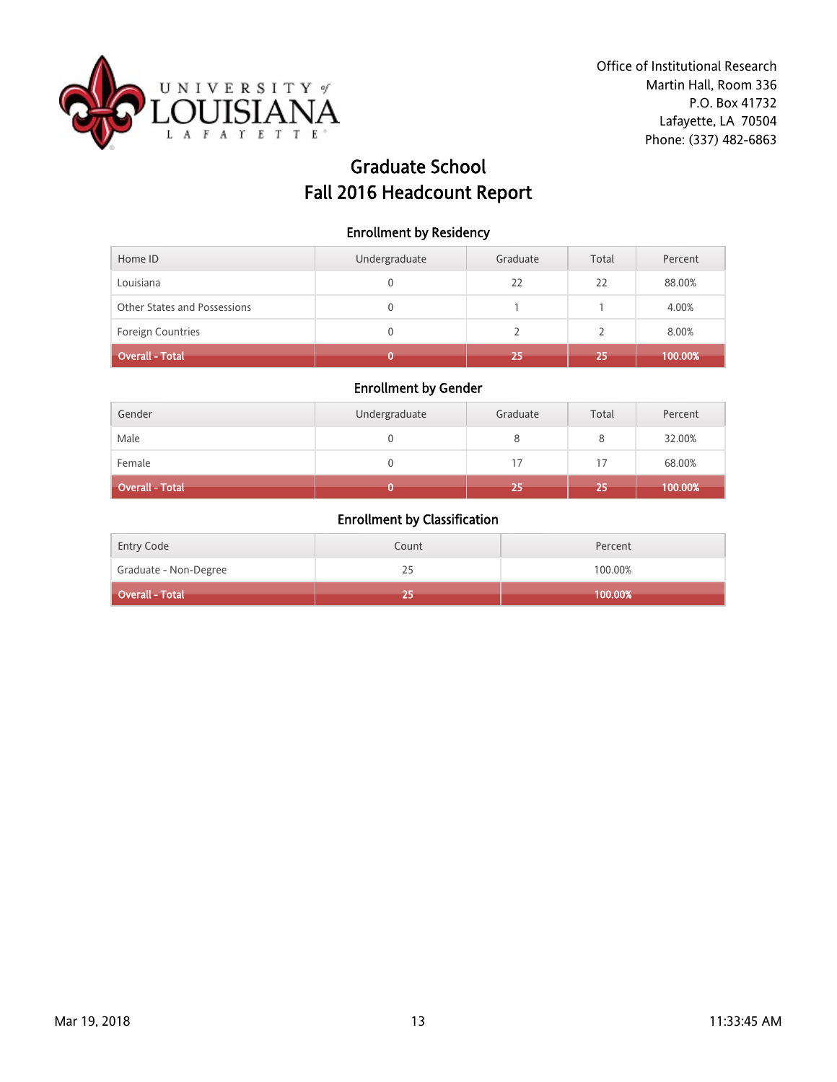

# Graduate School Fall 2016 Headcount Report

### Enrollment by Residency

| Home ID                      | Undergraduate | Graduate | Total | Percent |
|------------------------------|---------------|----------|-------|---------|
| Louisiana                    |               | 22       | 22    | 88.00%  |
| Other States and Possessions | 0             |          |       | 4.00%   |
| <b>Foreign Countries</b>     | 0             |          |       | 8.00%   |
| Overall - Total              |               | 25       | 25    | 100.00% |

## Enrollment by Gender

| Gender          | Undergraduate | Graduate | Total | Percent |
|-----------------|---------------|----------|-------|---------|
| Male            |               |          | 8     | 32.00%  |
| Female          |               | 17       | 17    | 68.00%  |
| Overall - Total |               | 25       | 25    | 100.00% |

| Entry Code            | Count | Percent    |
|-----------------------|-------|------------|
| Graduate - Non-Degree | 25    | 100.00%    |
| Overall - Total       |       | $100.00\%$ |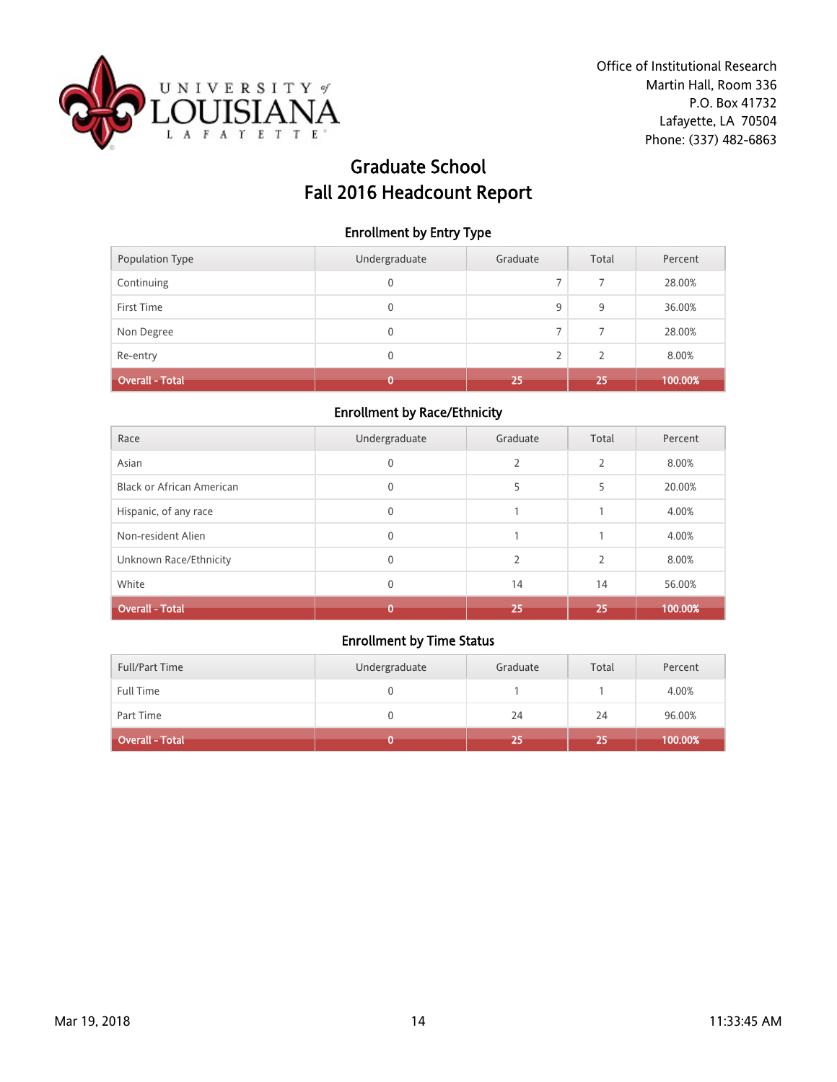

# Graduate School Fall 2016 Headcount Report

#### Enrollment by Entry Type

| Population Type        | Undergraduate | Graduate       | Total          | Percent |
|------------------------|---------------|----------------|----------------|---------|
| Continuing             | 0             | ⇁              | 7              | 28.00%  |
| First Time             | 0             | 9              | 9              | 36.00%  |
| Non Degree             | 0             | ⇁              | $\overline{7}$ | 28.00%  |
| Re-entry               | 0             | $\overline{2}$ | $\mathcal{P}$  | 8.00%   |
| <b>Overall - Total</b> |               | 25             | 25             | 100.00% |

#### Enrollment by Race/Ethnicity

| Race                             | Undergraduate | Graduate                 | Total          | Percent |
|----------------------------------|---------------|--------------------------|----------------|---------|
| Asian                            | $\mathbf{0}$  | 2                        | $\overline{2}$ | 8.00%   |
| <b>Black or African American</b> | 0             | 5                        | 5              | 20.00%  |
| Hispanic, of any race            | $\Omega$      |                          |                | 4.00%   |
| Non-resident Alien               | 0             |                          |                | 4.00%   |
| Unknown Race/Ethnicity           | 0             | $\overline{\phantom{a}}$ | $\mathcal{P}$  | 8.00%   |
| White                            | 0             | 14                       | 14             | 56.00%  |
| <b>Overall - Total</b>           |               | 25                       | 25             | 100.00% |

| <b>Full/Part Time</b> | Undergraduate | Graduate | Total | Percent |
|-----------------------|---------------|----------|-------|---------|
| Full Time             |               |          |       | 4.00%   |
| Part Time             |               | 24       | 24    | 96.00%  |
| Overall - Total       |               | 25       | 25    | 100.00% |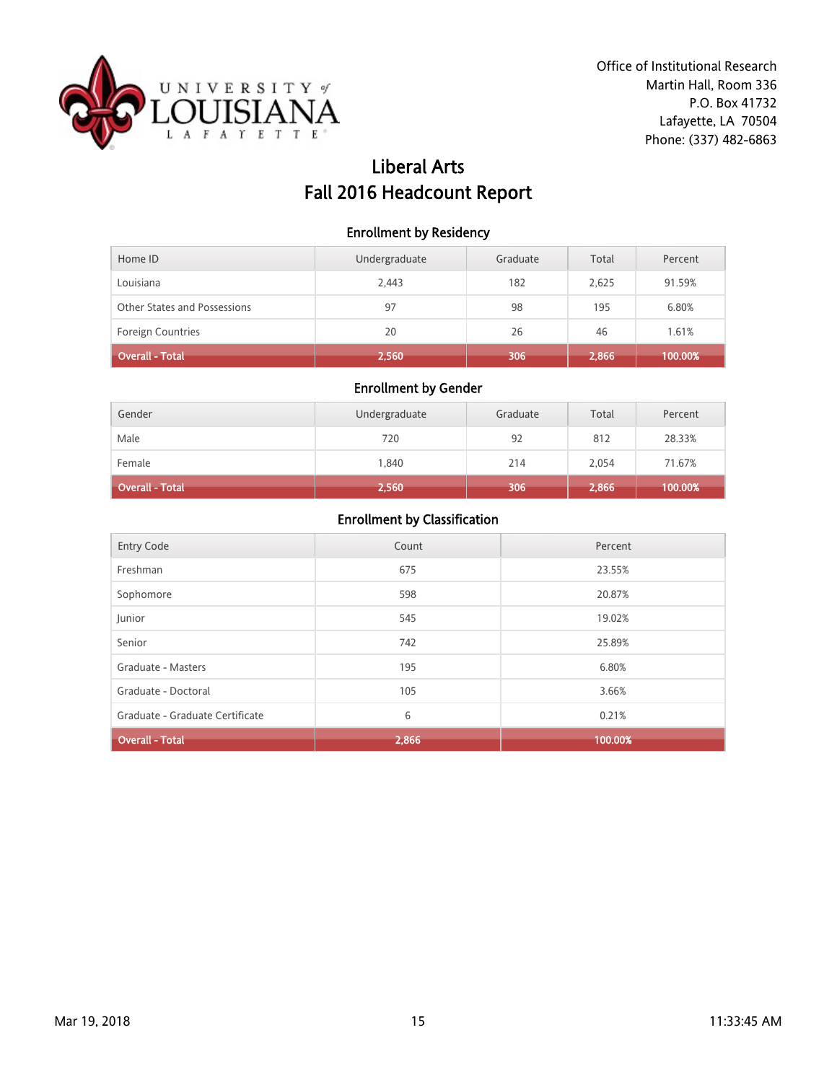

# Liberal Arts Fall 2016 Headcount Report

#### Enrollment by Residency

| Home ID                      | Undergraduate | Graduate | Total | Percent |
|------------------------------|---------------|----------|-------|---------|
| Louisiana                    | 2,443         | 182      | 2,625 | 91.59%  |
| Other States and Possessions | 97            | 98       | 195   | 6.80%   |
| <b>Foreign Countries</b>     | 20            | 26       | 46    | 1.61%   |
| Overall - Total              | 2,560         | 306      | 2,866 | 100.00% |

### Enrollment by Gender

| Gender          | Undergraduate | Graduate | Total | Percent |
|-----------------|---------------|----------|-------|---------|
| Male            | 720           | 92       | 812   | 28.33%  |
| Female          | 1.840         | 214      | 2,054 | 71.67%  |
| Overall - Total | 2,560         | 306      | 2,866 | 100.00% |

| <b>Entry Code</b>               | Count | Percent |
|---------------------------------|-------|---------|
| Freshman                        | 675   | 23.55%  |
| Sophomore                       | 598   | 20.87%  |
| Junior                          | 545   | 19.02%  |
| Senior                          | 742   | 25.89%  |
| Graduate - Masters              | 195   | 6.80%   |
| Graduate - Doctoral             | 105   | 3.66%   |
| Graduate - Graduate Certificate | 6     | 0.21%   |
| <b>Overall - Total</b>          | 2,866 | 100.00% |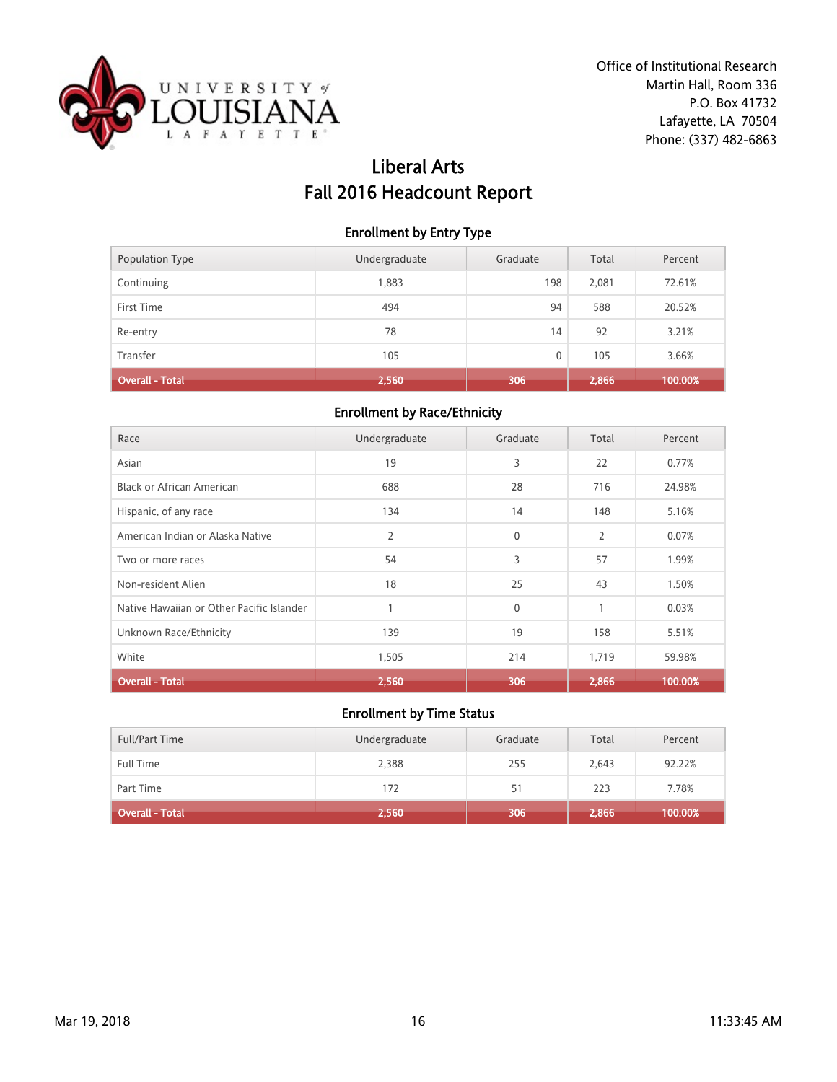

# Liberal Arts Fall 2016 Headcount Report

### Enrollment by Entry Type

| Population Type        | Undergraduate | Graduate | Total | Percent |
|------------------------|---------------|----------|-------|---------|
| Continuing             | 1,883         | 198      | 2,081 | 72.61%  |
| First Time             | 494           | 94       | 588   | 20.52%  |
| Re-entry               | 78            | 14       | 92    | 3.21%   |
| Transfer               | 105           | 0        | 105   | 3.66%   |
| <b>Overall - Total</b> | 2,560         | 306      | 2,866 | 100.00% |

#### Enrollment by Race/Ethnicity

| Race                                      | Undergraduate | Graduate    | Total | Percent |
|-------------------------------------------|---------------|-------------|-------|---------|
| Asian                                     | 19            | 3           | 22    | 0.77%   |
| <b>Black or African American</b>          | 688           | 28          | 716   | 24.98%  |
| Hispanic, of any race                     | 134           | 14          | 148   | 5.16%   |
| American Indian or Alaska Native          | 2             | $\mathbf 0$ | 2     | 0.07%   |
| Two or more races                         | 54            | 3           | 57    | 1.99%   |
| Non-resident Alien                        | 18            | 25          | 43    | 1.50%   |
| Native Hawaiian or Other Pacific Islander |               | $\mathbf 0$ | 1     | 0.03%   |
| Unknown Race/Ethnicity                    | 139           | 19          | 158   | 5.51%   |
| White                                     | 1,505         | 214         | 1,719 | 59.98%  |
| <b>Overall - Total</b>                    | 2,560         | 306         | 2.866 | 100.00% |

| <b>Full/Part Time</b> | Undergraduate | Graduate | Total | Percent |
|-----------------------|---------------|----------|-------|---------|
| <b>Full Time</b>      | 2,388         | 255      | 2.643 | 92.22%  |
| Part Time             | 172           | 51       | 223   | 7.78%   |
| Overall - Total       | 2,560         | 306      | 2,866 | 100.00% |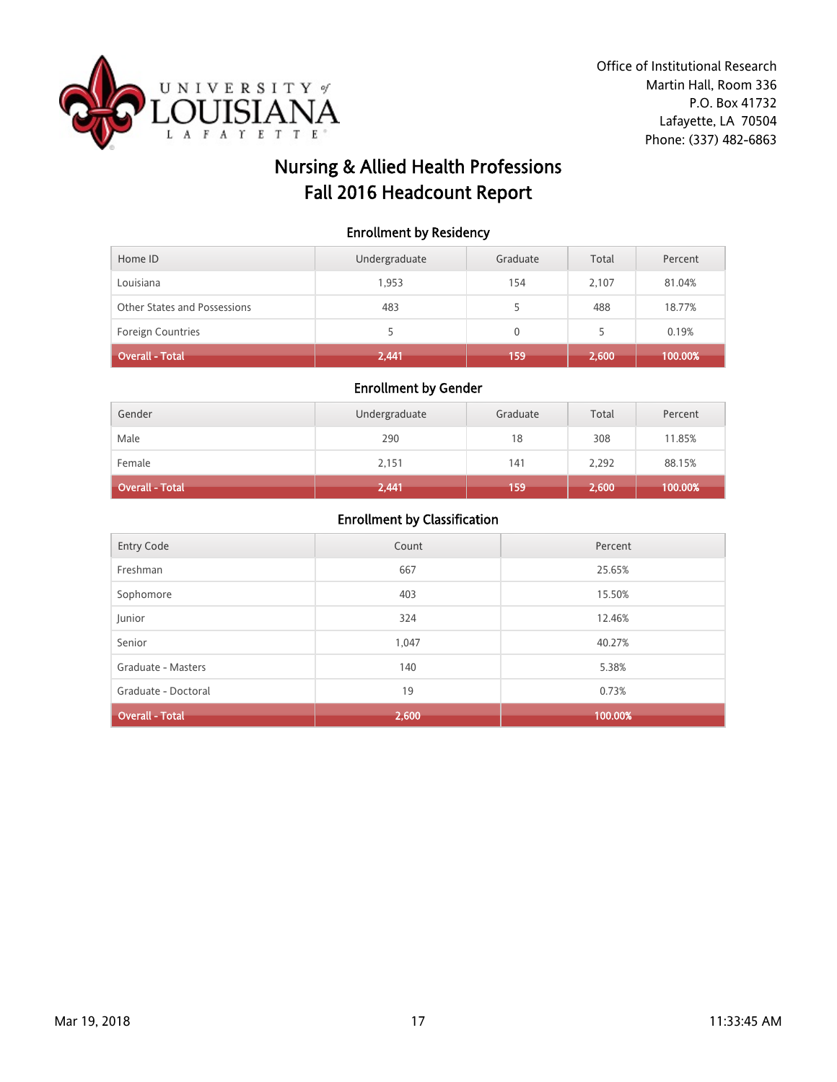

# Nursing & Allied Health Professions Fall 2016 Headcount Report

### Enrollment by Residency

| Home ID                      | Undergraduate | Graduate | Total | Percent |
|------------------------------|---------------|----------|-------|---------|
| Louisiana                    | 1.953         | 154      | 2.107 | 81.04%  |
| Other States and Possessions | 483           |          | 488   | 18.77%  |
| <b>Foreign Countries</b>     |               | 0        | 5     | 0.19%   |
| Overall - Total              | 2,441         | 159      | 2,600 | 100.00% |

#### Enrollment by Gender

| Gender          | Undergraduate | Graduate | Total | Percent |
|-----------------|---------------|----------|-------|---------|
| Male            | 290           | 18       | 308   | 11.85%  |
| Female          | 2,151         | 141      | 2,292 | 88.15%  |
| Overall - Total | 2,441         | 159      | 2,600 | 100.00% |

| Entry Code             | Count | Percent |
|------------------------|-------|---------|
| Freshman               | 667   | 25.65%  |
| Sophomore              | 403   | 15.50%  |
| Junior                 | 324   | 12.46%  |
| Senior                 | 1,047 | 40.27%  |
| Graduate - Masters     | 140   | 5.38%   |
| Graduate - Doctoral    | 19    | 0.73%   |
| <b>Overall - Total</b> | 2,600 | 100.00% |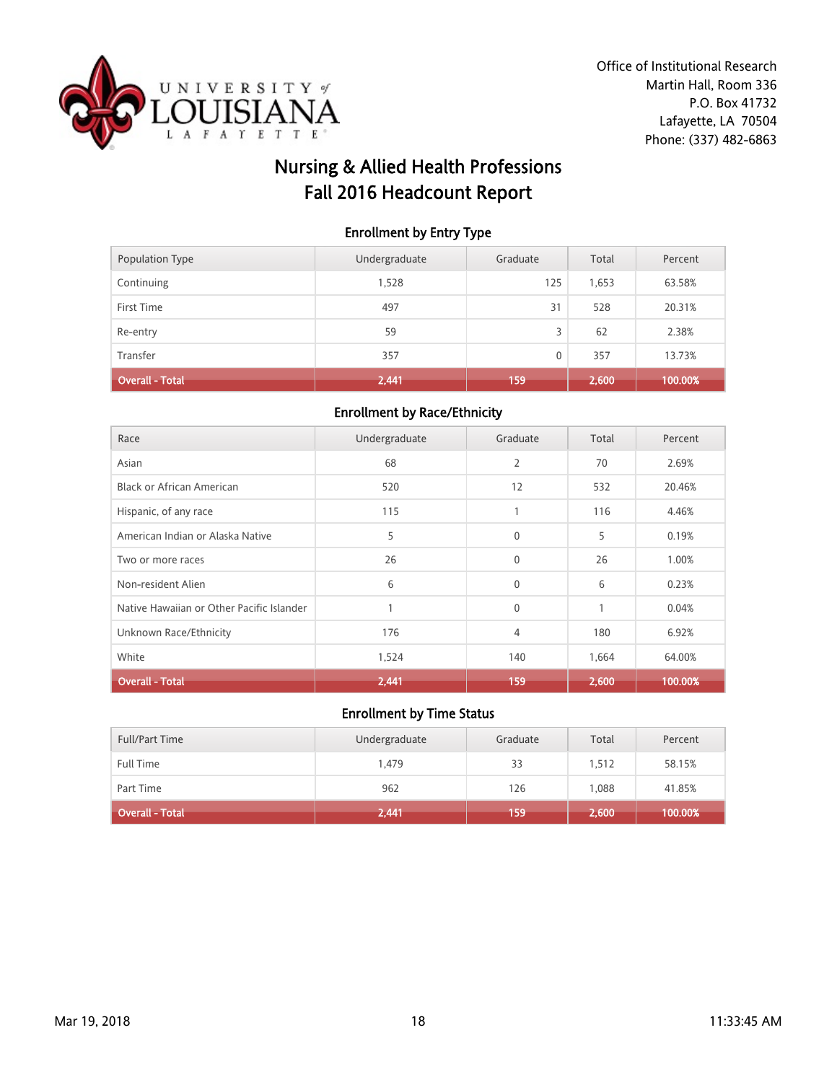

# Nursing & Allied Health Professions Fall 2016 Headcount Report

### Enrollment by Entry Type

| Transfer        | 357           | 0        | 357   | 13.73%  |
|-----------------|---------------|----------|-------|---------|
|                 |               |          |       |         |
| Re-entry        | 59            | 3        | 62    | 2.38%   |
| First Time      | 497           | 31       | 528   | 20.31%  |
| Continuing      | 1,528         | 125      | 1,653 | 63.58%  |
| Population Type | Undergraduate | Graduate | Total | Percent |

#### Enrollment by Race/Ethnicity

| Race                                      | Undergraduate | Graduate       | Total | Percent |
|-------------------------------------------|---------------|----------------|-------|---------|
| Asian                                     | 68            | $\overline{2}$ | 70    | 2.69%   |
| <b>Black or African American</b>          | 520           | 12             | 532   | 20.46%  |
| Hispanic, of any race                     | 115           | 1              | 116   | 4.46%   |
| American Indian or Alaska Native          | 5             | $\mathbf{0}$   | 5     | 0.19%   |
| Two or more races                         | 26            | $\mathbf{0}$   | 26    | 1.00%   |
| Non-resident Alien                        | 6             | $\mathbf{0}$   | 6     | 0.23%   |
| Native Hawaiian or Other Pacific Islander |               | $\mathbf{0}$   | 1     | 0.04%   |
| Unknown Race/Ethnicity                    | 176           | 4              | 180   | 6.92%   |
| White                                     | 1,524         | 140            | 1,664 | 64.00%  |
| <b>Overall - Total</b>                    | 2,441         | 159            | 2.600 | 100.00% |

| <b>Full/Part Time</b> | Undergraduate | Graduate | Total | Percent |
|-----------------------|---------------|----------|-------|---------|
| <b>Full Time</b>      | 1.479         | 33       | 1.512 | 58.15%  |
| Part Time             | 962           | 126      | 1.088 | 41.85%  |
| Overall - Total       | 2,441         | 159      | 2,600 | 100.00% |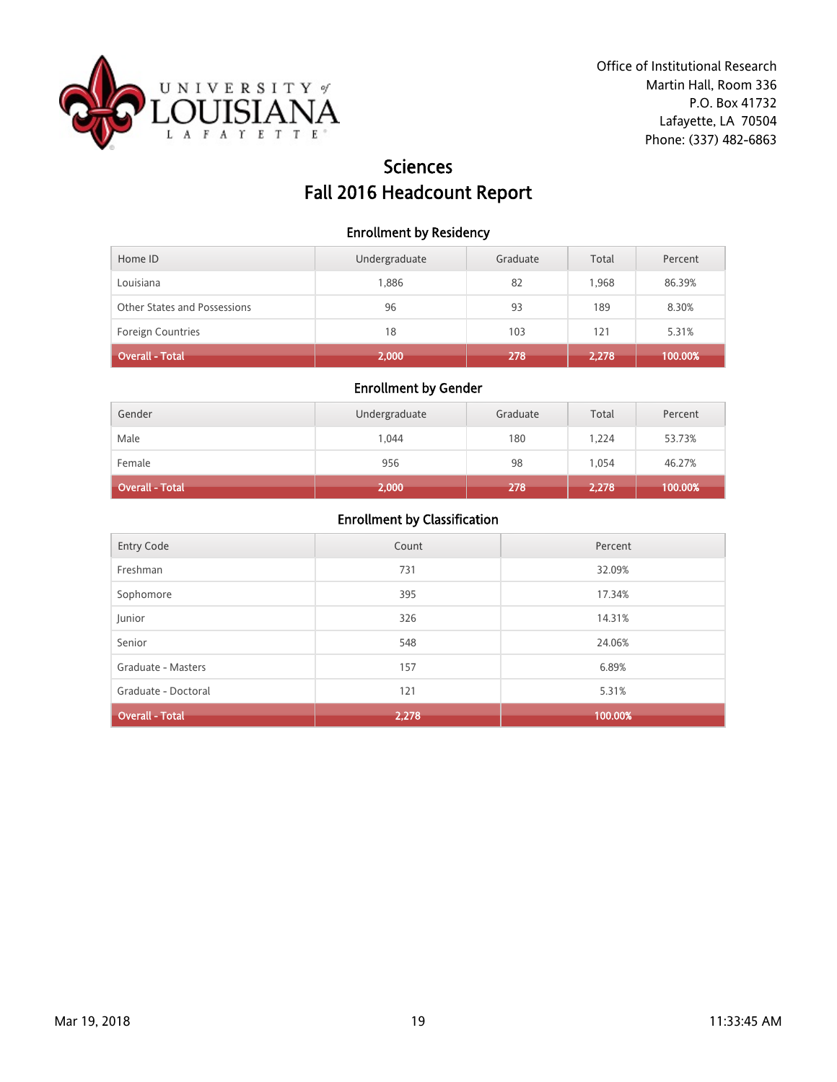

# Sciences Fall 2016 Headcount Report

#### Enrollment by Residency

| Home ID                      | Undergraduate | Graduate | Total | Percent |
|------------------------------|---------------|----------|-------|---------|
| Louisiana                    | 1.886         | 82       | 1.968 | 86.39%  |
| Other States and Possessions | 96            | 93       | 189   | 8.30%   |
| <b>Foreign Countries</b>     | 18            | 103      | 121   | 5.31%   |
| Overall - Total              | 2,000         | 278      | 2,278 | 100.00% |

### Enrollment by Gender

| Gender          | Undergraduate | Graduate | Total | Percent |
|-----------------|---------------|----------|-------|---------|
| Male            | 1.044         | 180      | 1.224 | 53.73%  |
| Female          | 956           | 98       | 1.054 | 46.27%  |
| Overall - Total | 2,000         | 278      | 2,278 | 100.00% |

| Entry Code             | Count | Percent |
|------------------------|-------|---------|
| Freshman               | 731   | 32.09%  |
| Sophomore              | 395   | 17.34%  |
| Junior                 | 326   | 14.31%  |
| Senior                 | 548   | 24.06%  |
| Graduate - Masters     | 157   | 6.89%   |
| Graduate - Doctoral    | 121   | 5.31%   |
| <b>Overall - Total</b> | 2,278 | 100.00% |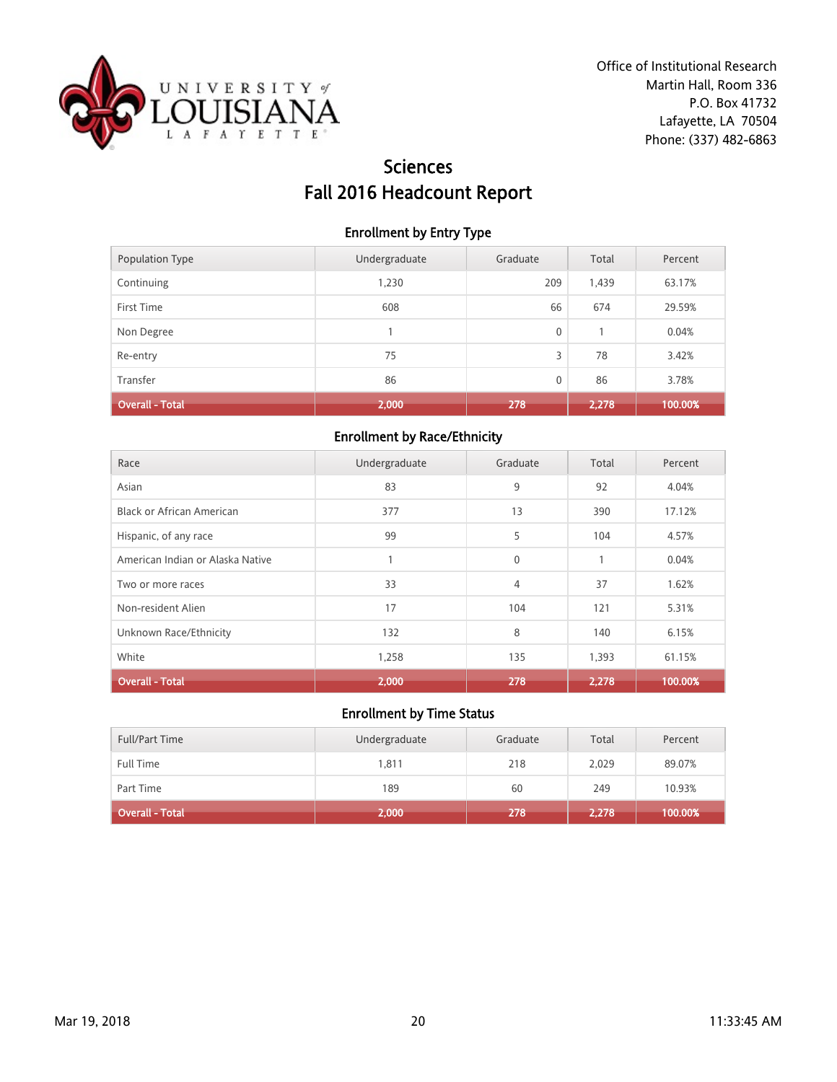

# Sciences Fall 2016 Headcount Report

### Enrollment by Entry Type

| Population Type        | Undergraduate | Graduate | Total | Percent |
|------------------------|---------------|----------|-------|---------|
| Continuing             | 1,230         | 209      | 1,439 | 63.17%  |
| First Time             | 608           | 66       | 674   | 29.59%  |
| Non Degree             |               | 0        |       | 0.04%   |
| Re-entry               | 75            | 3        | 78    | 3.42%   |
| Transfer               | 86            | 0        | 86    | 3.78%   |
| <b>Overall - Total</b> | 2,000         | 278      | 2,278 | 100.00% |

## Enrollment by Race/Ethnicity

| Race                             | Undergraduate | Graduate     | Total | Percent |
|----------------------------------|---------------|--------------|-------|---------|
| Asian                            | 83            | 9            | 92    | 4.04%   |
| Black or African American        | 377           | 13           | 390   | 17.12%  |
| Hispanic, of any race            | 99            | 5            | 104   | 4.57%   |
| American Indian or Alaska Native |               | $\mathbf{0}$ |       | 0.04%   |
| Two or more races                | 33            | 4            | 37    | 1.62%   |
| Non-resident Alien               | 17            | 104          | 121   | 5.31%   |
| Unknown Race/Ethnicity           | 132           | 8            | 140   | 6.15%   |
| White                            | 1,258         | 135          | 1,393 | 61.15%  |
| <b>Overall - Total</b>           | 2,000         | 278          | 2,278 | 100.00% |

| <b>Full/Part Time</b> | Undergraduate | Graduate | Total | Percent |
|-----------------------|---------------|----------|-------|---------|
| <b>Full Time</b>      | 1,811         | 218      | 2,029 | 89.07%  |
| Part Time             | 189           | 60       | 249   | 10.93%  |
| Overall - Total       | 2,000         | 278      | 2,278 | 100.00% |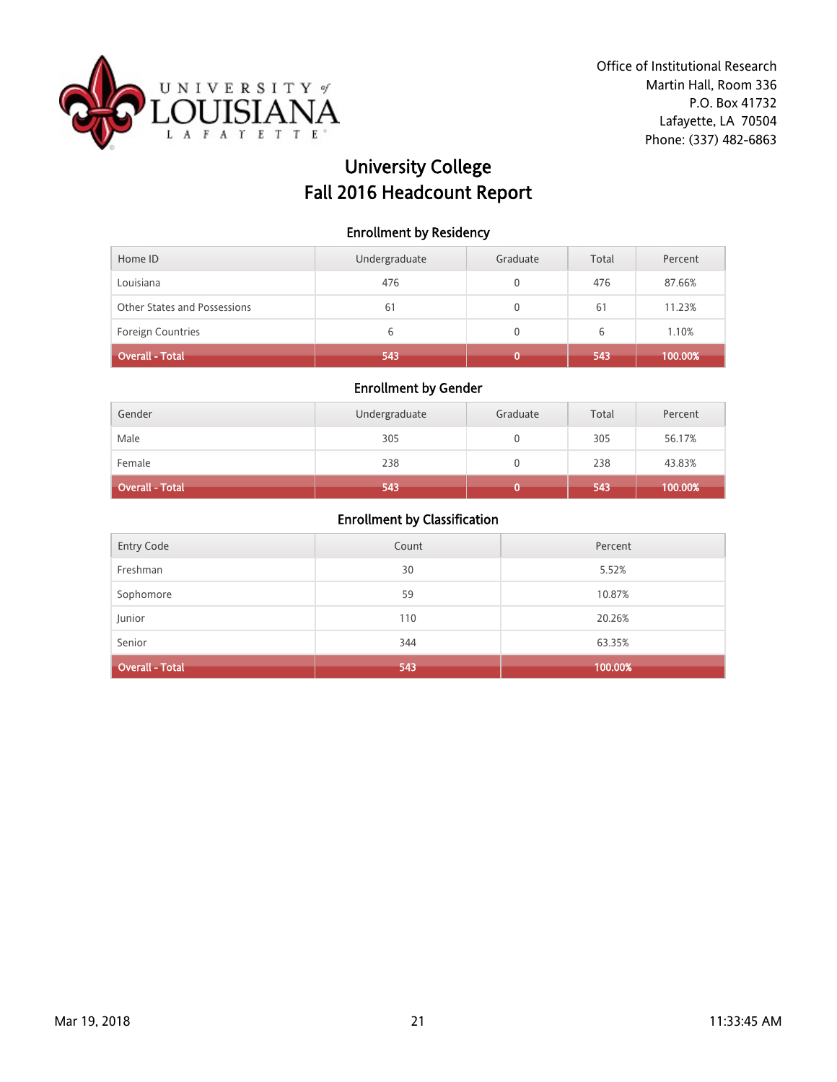

# University College Fall 2016 Headcount Report

#### Enrollment by Residency

| Home ID                      | Undergraduate | Graduate | Total | Percent |
|------------------------------|---------------|----------|-------|---------|
| Louisiana                    | 476           |          | 476   | 87.66%  |
| Other States and Possessions | 61            |          | 61    | 11.23%  |
| <b>Foreign Countries</b>     | 6             |          | 6     | 1.10%   |
| <b>Overall - Total</b>       | 543           |          | 543   | 100.00% |

### Enrollment by Gender

| Gender                 | Undergraduate | Graduate | Total | Percent |
|------------------------|---------------|----------|-------|---------|
| Male                   | 305           |          | 305   | 56.17%  |
| Female                 | 238           |          | 238   | 43.83%  |
| <b>Overall - Total</b> | 543           |          | 543   | 100.00% |

| <b>Entry Code</b>      | Count | Percent |
|------------------------|-------|---------|
| Freshman               | 30    | 5.52%   |
| Sophomore              | 59    | 10.87%  |
| Junior                 | 110   | 20.26%  |
| Senior                 | 344   | 63.35%  |
| <b>Overall - Total</b> | 543   | 100.00% |